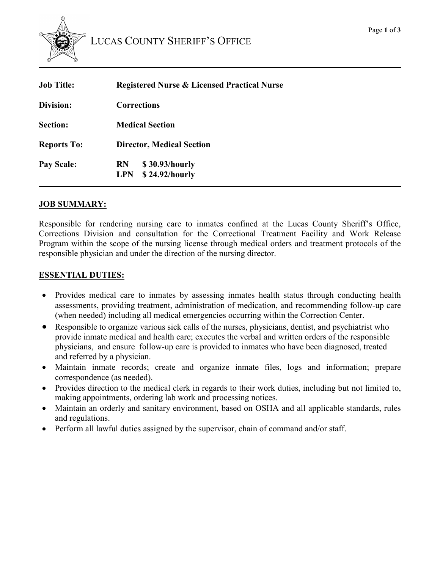

| <b>Registered Nurse &amp; Licensed Practical Nurse</b> |
|--------------------------------------------------------|
| <b>Corrections</b>                                     |
| <b>Medical Section</b>                                 |
| <b>Director, Medical Section</b>                       |
| \$30.93/hourly<br><b>RN</b><br>LPN \$24.92/hourly      |
|                                                        |

### **JOB SUMMARY:**

Responsible for rendering nursing care to inmates confined at the Lucas County Sheriff's Office, Corrections Division and consultation for the Correctional Treatment Facility and Work Release Program within the scope of the nursing license through medical orders and treatment protocols of the responsible physician and under the direction of the nursing director.

### **ESSENTIAL DUTIES:**

- Provides medical care to inmates by assessing inmates health status through conducting health assessments, providing treatment, administration of medication, and recommending follow-up care (when needed) including all medical emergencies occurring within the Correction Center.
- Responsible to organize various sick calls of the nurses, physicians, dentist, and psychiatrist who provide inmate medical and health care; executes the verbal and written orders of the responsible physicians, and ensure follow-up care is provided to inmates who have been diagnosed, treated and referred by a physician.
- Maintain inmate records; create and organize inmate files, logs and information; prepare correspondence (as needed).
- Provides direction to the medical clerk in regards to their work duties, including but not limited to, making appointments, ordering lab work and processing notices.
- Maintain an orderly and sanitary environment, based on OSHA and all applicable standards, rules and regulations.
- Perform all lawful duties assigned by the supervisor, chain of command and/or staff.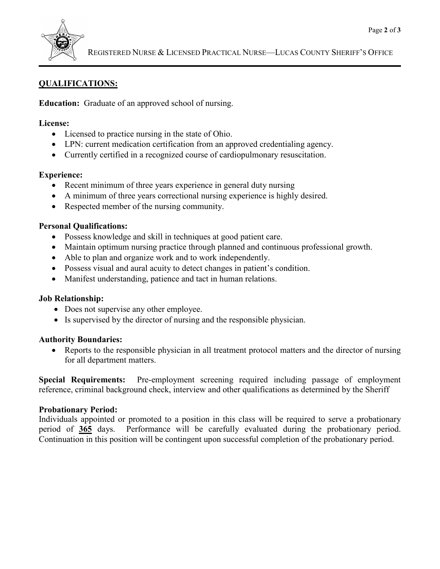

# **QUALIFICATIONS:**

**Education:** Graduate of an approved school of nursing.

#### **License:**

- Licensed to practice nursing in the state of Ohio.
- LPN: current medication certification from an approved credentialing agency.
- Currently certified in a recognized course of cardiopulmonary resuscitation.

### **Experience:**

- Recent minimum of three years experience in general duty nursing
- A minimum of three years correctional nursing experience is highly desired.
- Respected member of the nursing community.

### **Personal Qualifications:**

- Possess knowledge and skill in techniques at good patient care.
- Maintain optimum nursing practice through planned and continuous professional growth.
- Able to plan and organize work and to work independently.
- Possess visual and aural acuity to detect changes in patient's condition.
- Manifest understanding, patience and tact in human relations.

### **Job Relationship:**

- Does not supervise any other employee.
- Is supervised by the director of nursing and the responsible physician.

### **Authority Boundaries:**

• Reports to the responsible physician in all treatment protocol matters and the director of nursing for all department matters.

**Special Requirements:** Pre-employment screening required including passage of employment reference, criminal background check, interview and other qualifications as determined by the Sheriff

### **Probationary Period:**

Individuals appointed or promoted to a position in this class will be required to serve a probationary period of **365** days. Performance will be carefully evaluated during the probationary period. Continuation in this position will be contingent upon successful completion of the probationary period.